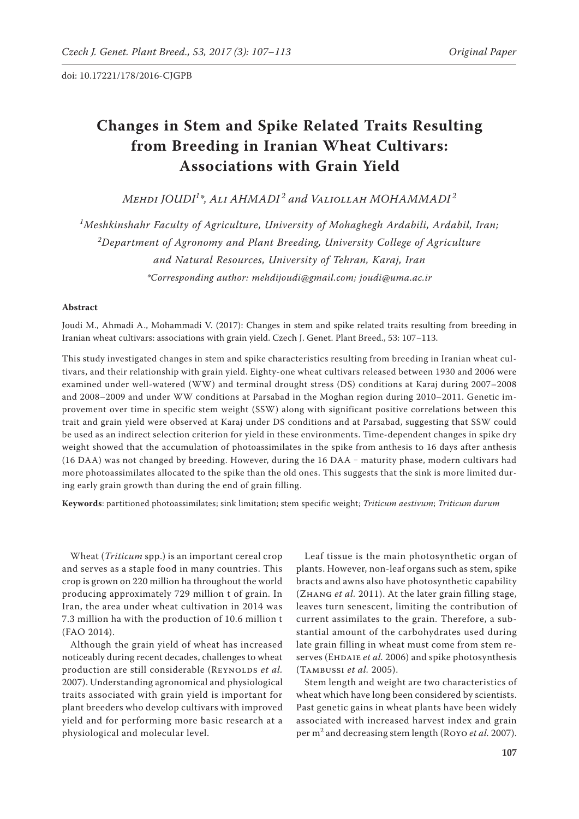# **Changes in Stem and Spike Related Traits Resulting from Breeding in Iranian Wheat Cultivars: Associations with Grain Yield**

*Mehdi JOUDI<sup>1</sup> \*, Ali AHMADI <sup>2</sup> and Valiollah MOHAMMADI <sup>2</sup>*

*1 Meshkinshahr Faculty of Agriculture, University of Mohaghegh Ardabili, Ardabil, Iran; 2 Department of Agronomy and Plant Breeding, University College of Agriculture and Natural Resources, University of Tehran, Karaj, Iran \*Corresponding author: mehdijoudi@gmail.com; joudi@uma.ac.ir*

## **Abstract**

Joudi M., Ahmadi A., Mohammadi V. (2017): Changes in stem and spike related traits resulting from breeding in Iranian wheat cultivars: associations with grain yield. Czech J. Genet. Plant Breed., 53: 107−113.

This study investigated changes in stem and spike characteristics resulting from breeding in Iranian wheat cultivars, and their relationship with grain yield. Eighty-one wheat cultivars released between 1930 and 2006 were examined under well-watered (WW) and terminal drought stress (DS) conditions at Karaj during 2007–2008 and 2008–2009 and under WW conditions at Parsabad in the Moghan region during 2010–2011. Genetic improvement over time in specific stem weight (SSW) along with significant positive correlations between this trait and grain yield were observed at Karaj under DS conditions and at Parsabad, suggesting that SSW could be used as an indirect selection criterion for yield in these environments. Time-dependent changes in spike dry weight showed that the accumulation of photoassimilates in the spike from anthesis to 16 days after anthesis (16 DAA) was not changed by breeding. However, during the 16 DAA - maturity phase, modern cultivars had more photoassimilates allocated to the spike than the old ones. This suggests that the sink is more limited during early grain growth than during the end of grain filling.

**Keywords**: partitioned photoassimilates; sink limitation; stem specific weight; *Triticum aestivum*; *Triticum durum*

Wheat (*Triticum* spp.) is an important cereal crop and serves as a staple food in many countries. This crop is grown on 220 million ha throughout the world producing approximately 729 million t of grain. In Iran, the area under wheat cultivation in 2014 was 7.3 million ha with the production of 10.6 million t (FAO 2014).

Although the grain yield of wheat has increased noticeably during recent decades, challenges to wheat production are still considerable (REYNOLDS et al. 2007). Understanding agronomical and physiological traits associated with grain yield is important for plant breeders who develop cultivars with improved yield and for performing more basic research at a physiological and molecular level.

Leaf tissue is the main photosynthetic organ of plants. However, non-leaf organs such as stem, spike bracts and awns also have photosynthetic capability (Zhang *et al.* 2011). At the later grain filling stage, leaves turn senescent, limiting the contribution of current assimilates to the grain. Therefore, a substantial amount of the carbohydrates used during late grain filling in wheat must come from stem reserves (EHDAIE *et al.* 2006) and spike photosynthesis (Tambussi *et al.* 2005).

Stem length and weight are two characteristics of wheat which have long been considered by scientists. Past genetic gains in wheat plants have been widely associated with increased harvest index and grain per m<sup>2</sup> and decreasing stem length (Royo *et al.* 2007).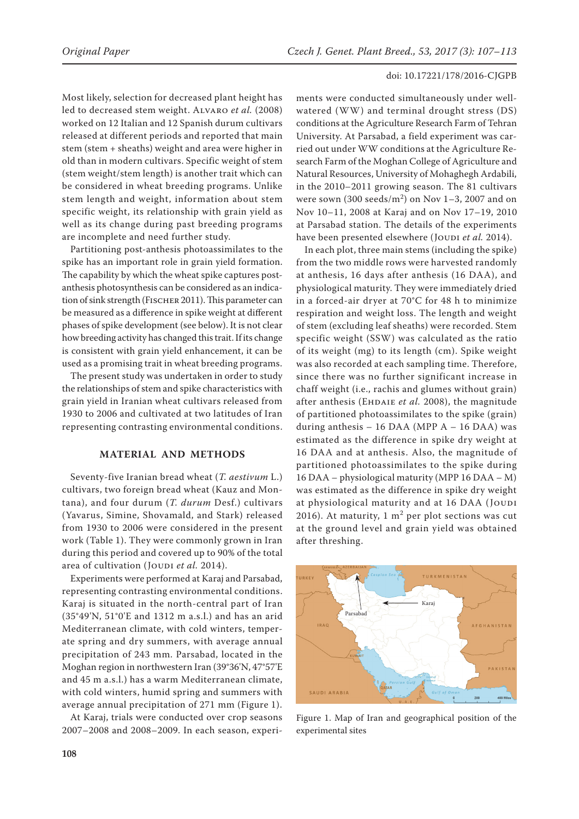Most likely, selection for decreased plant height has led to decreased stem weight. Alvaro *et al.* (2008) worked on 12 Italian and 12 Spanish durum cultivars released at different periods and reported that main stem (stem + sheaths) weight and area were higher in old than in modern cultivars. Specific weight of stem (stem weight/stem length) is another trait which can be considered in wheat breeding programs. Unlike stem length and weight, information about stem specific weight, its relationship with grain yield as well as its change during past breeding programs are incomplete and need further study.

Partitioning post-anthesis photoassimilates to the spike has an important role in grain yield formation. The capability by which the wheat spike captures postanthesis photosynthesis can be considered as an indication of sink strength (FISCHER 2011). This parameter can be measured as a difference in spike weight at different phases of spike development (see below). It is not clear how breeding activity has changed this trait. If its change is consistent with grain yield enhancement, it can be used as a promising trait in wheat breeding programs.

The present study was undertaken in order to study the relationships of stem and spike characteristics with grain yield in Iranian wheat cultivars released from 1930 to 2006 and cultivated at two latitudes of Iran representing contrasting environmental conditions.

## **MATERIAL AND METHODS**

Seventy-five Iranian bread wheat (*T. aestivum* L.) cultivars, two foreign bread wheat (Kauz and Montana), and four durum (*T. durum* Desf.) cultivars (Yavarus, Simine, Shovamald, and Stark) released from 1930 to 2006 were considered in the present work (Table 1). They were commonly grown in Iran during this period and covered up to 90% of the total area of cultivation (Joupi et al. 2014).

Experiments were performed at Karaj and Parsabad, representing contrasting environmental conditions. Karaj is situated in the north-central part of Iran (35°49'N, 51°0'E and 1312 m a.s.l.) and has an arid Mediterranean climate, with cold winters, temperate spring and dry summers, with average annual precipitation of 243 mm. Parsabad, located in the Moghan region in northwestern Iran (39°36'N, 47°57'E and 45 m a.s.l.) has a warm Mediterranean climate, with cold winters, humid spring and summers with average annual precipitation of 271 mm (Figure 1).

At Karaj, trials were conducted over crop seasons 2007–2008 and 2008–2009. In each season, experi-

ments were conducted simultaneously under wellwatered (WW) and terminal drought stress (DS) conditions at the Agriculture Research Farm of Tehran University. At Parsabad, a field experiment was carried out under WW conditions at the Agriculture Research Farm of the Moghan College of Agriculture and Natural Resources, University of Mohaghegh Ardabili, in the 2010–2011 growing season. The 81 cultivars were sown  $(300 \text{ seeds/m}^2)$  on Nov 1–3, 2007 and on Nov 10–11, 2008 at Karaj and on Nov 17–19, 2010 at Parsabad station. The details of the experiments have been presented elsewhere (JOUDI et al. 2014).

In each plot, three main stems (including the spike) from the two middle rows were harvested randomly at anthesis, 16 days after anthesis (16 DAA), and physiological maturity. They were immediately dried in a forced-air dryer at 70°C for 48 h to minimize respiration and weight loss. The length and weight of stem (excluding leaf sheaths) were recorded. Stem specific weight (SSW) was calculated as the ratio of its weight (mg) to its length (cm). Spike weight was also recorded at each sampling time. Therefore, since there was no further significant increase in chaff weight (i.e., rachis and glumes without grain) after anthesis (EHDAIE et al. 2008), the magnitude of partitioned photoassimilates to the spike (grain) during anthesis  $-16$  DAA (MPP  $A - 16$  DAA) was estimated as the difference in spike dry weight at 16 DAA and at anthesis. Also, the magnitude of partitioned photoassimilates to the spike during 16 DAA – physiological maturity (MPP 16 DAA – M) was estimated as the difference in spike dry weight at physiological maturity and at 16 DAA (JOUDI 2016). At maturity,  $1 \text{ m}^2$  per plot sections was cut at the ground level and grain yield was obtained after threshing.



Figure 1. Map of Iran and geographical position of the experimental sites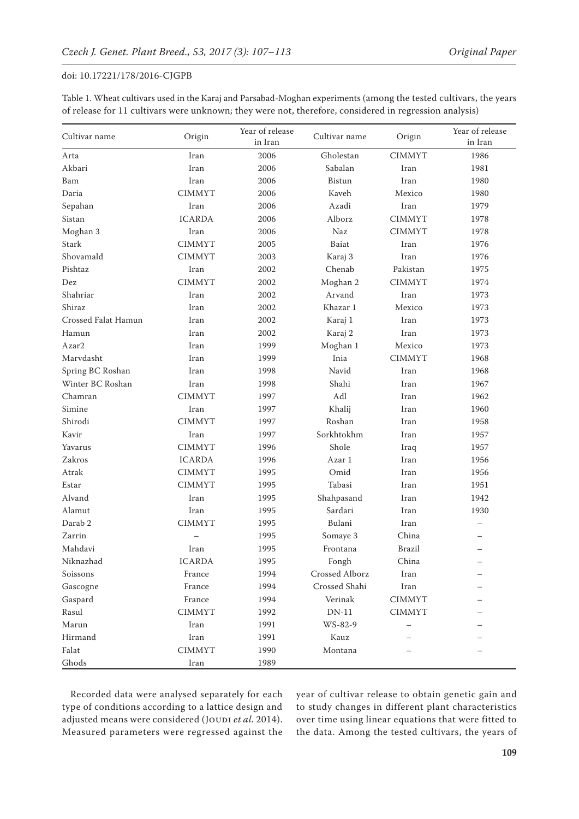| Cultivar name       | Origin        | Year of release<br>in Iran | Cultivar name  | Origin                                                                                                | Year of release<br>in Iran |
|---------------------|---------------|----------------------------|----------------|-------------------------------------------------------------------------------------------------------|----------------------------|
| Arta                | Iran          | 2006                       | Gholestan      | <b>CIMMYT</b>                                                                                         | 1986                       |
| Akbari              | Iran          | 2006                       | Sabalan        | Iran                                                                                                  | 1981                       |
| Bam                 | Iran          | 2006                       | <b>Bistun</b>  | Iran                                                                                                  | 1980                       |
| Daria               | <b>CIMMYT</b> | 2006                       | Kaveh          | Mexico                                                                                                | 1980                       |
| Sepahan             | Iran          | 2006                       | Azadi          | Iran                                                                                                  | 1979                       |
| Sistan              | <b>ICARDA</b> | 2006                       | Alborz         | <b>CIMMYT</b>                                                                                         | 1978                       |
| Moghan 3            | Iran          | 2006                       | Naz            | <b>CIMMYT</b>                                                                                         | 1978                       |
| Stark               | <b>CIMMYT</b> | 2005                       | Baiat          | Iran                                                                                                  | 1976                       |
| Shovamald           | <b>CIMMYT</b> | 2003                       | Karaj 3        | Iran                                                                                                  | 1976                       |
| Pishtaz             | Iran          | 2002                       | Chenab         | Pakistan                                                                                              | 1975                       |
| Dez                 | <b>CIMMYT</b> | 2002                       | Moghan 2       | <b>CIMMYT</b>                                                                                         | 1974                       |
| Shahriar            | Iran          | 2002                       | Arvand         | Iran                                                                                                  | 1973                       |
| Shiraz              | Iran          | 2002                       | Khazar 1       | Mexico                                                                                                | 1973                       |
| Crossed Falat Hamun | Iran          | 2002                       | Karaj 1        | Iran                                                                                                  | 1973                       |
| Hamun               | Iran          | 2002                       | Karaj 2        | Iran                                                                                                  | 1973                       |
| Azar2               | Iran          | 1999                       | Moghan 1       | Mexico                                                                                                | 1973                       |
| Marvdasht           | Iran          | 1999                       | Inia           | <b>CIMMYT</b>                                                                                         | 1968                       |
| Spring BC Roshan    | Iran          | 1998                       | Navid          | Iran                                                                                                  | 1968                       |
| Winter BC Roshan    | Iran          | 1998                       | Shahi          | Iran                                                                                                  | 1967                       |
| Chamran             | <b>CIMMYT</b> | 1997                       | Adl            | Iran                                                                                                  | 1962                       |
| Simine              | Iran          | 1997                       | Khalij         | Iran                                                                                                  | 1960                       |
| Shirodi             | <b>CIMMYT</b> | 1997                       | Roshan         | Iran                                                                                                  | 1958                       |
| Kavir               | Iran          | 1997                       | Sorkhtokhm     | Iran                                                                                                  | 1957                       |
| Yavarus             | <b>CIMMYT</b> | 1996                       | Shole          | Iraq                                                                                                  | 1957                       |
| Zakros              | <b>ICARDA</b> | 1996                       | Azar 1         | Iran                                                                                                  | 1956                       |
| Atrak               | <b>CIMMYT</b> | 1995                       | Omid           | Iran                                                                                                  | 1956                       |
| Estar               | <b>CIMMYT</b> | 1995                       | Tabasi         | Iran                                                                                                  | 1951                       |
| Alvand              | Iran          | 1995                       | Shahpasand     | Iran                                                                                                  | 1942                       |
| Alamut              | Iran          | 1995                       | Sardari        | Iran                                                                                                  | 1930                       |
| Darab 2             | <b>CIMMYT</b> | 1995                       | Bulani         | Iran                                                                                                  |                            |
| Zarrin              |               | 1995                       | Somaye 3       | China                                                                                                 | $\overline{\phantom{0}}$   |
| Mahdavi             | Iran          | 1995                       | Frontana       | <b>Brazil</b>                                                                                         | $\overline{\phantom{0}}$   |
| Niknazhad           | <b>ICARDA</b> | 1995                       | Fongh          | China                                                                                                 |                            |
| Soissons            | France        | 1994                       | Crossed Alborz | Iran                                                                                                  |                            |
| Gascogne            | France        | 1994                       | Crossed Shahi  | $\operatorname*{Iran}% \left( \mathcal{N}\right) \equiv\operatorname*{Tran}\left( \mathcal{N}\right)$ |                            |
| Gaspard             | France        | 1994                       | Verinak        | <b>CIMMYT</b>                                                                                         |                            |
| Rasul               | <b>CIMMYT</b> | 1992                       | $DN-11$        | <b>CIMMYT</b>                                                                                         |                            |
| Marun               | Iran          | 1991                       | WS-82-9        |                                                                                                       |                            |
| Hirmand             | Iran          | 1991                       | Kauz           |                                                                                                       |                            |
| Falat               | <b>CIMMYT</b> | 1990                       | Montana        |                                                                                                       |                            |
| Ghods               | Iran          | 1989                       |                |                                                                                                       |                            |

Table 1. Wheat cultivars used in the Karaj and Parsabad-Moghan experiments (among the tested cultivars, the years of release for 11 cultivars were unknown; they were not, therefore, considered in regression analysis)

Recorded data were analysed separately for each type of conditions according to a lattice design and adjusted means were considered (JOUDI et al. 2014). Measured parameters were regressed against the

year of cultivar release to obtain genetic gain and to study changes in different plant characteristics over time using linear equations that were fitted to the data. Among the tested cultivars, the years of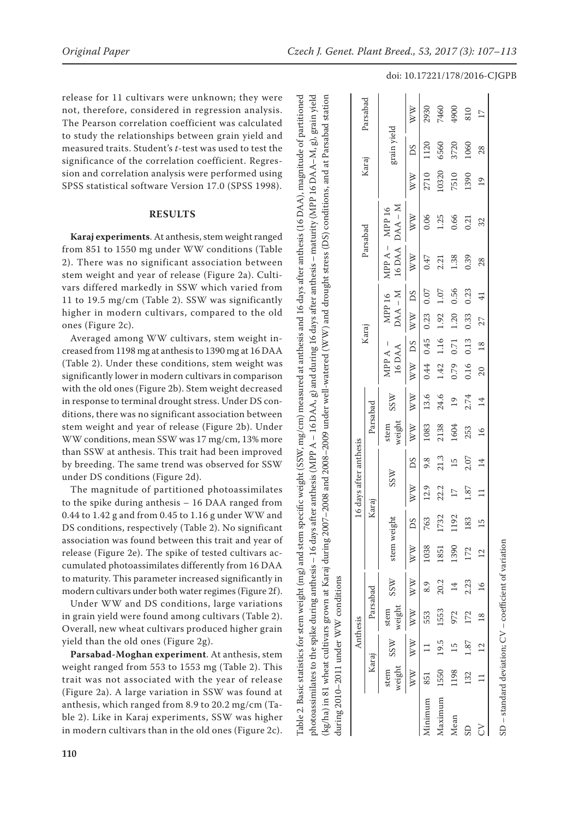release for 11 cultivars were unknown; they were not, therefore, considered in regression analysis. The Pearson correlation coefficient was calculated to study the relationships between grain yield and measured traits. Student's *t*-test was used to test the significance of the correlation coefficient. Regres sion and correlation analysis were performed using SPSS statistical software Version 17.0 (SPSS 1998).

## **RESULTS**

**Karaj experiments**. At anthesis, stem weight ranged from 851 to 1550 mg under WW conditions (Table 2). There was no significant association between stem weight and year of release (Figure 2a). Culti vars differed markedly in SSW which varied from 11 to 19.5 mg/cm (Table 2). SSW was significantly higher in modern cultivars, compared to the old ones (Figure 2c).

Averaged among WW cultivars, stem weight in creased from 1198 mg at anthesis to 1390 mg at 16 DAA (Table 2). Under these conditions, stem weight was significantly lower in modern cultivars in comparison with the old ones (Figure 2b). Stem weight decreased in response to terminal drought stress. Under DS con ditions, there was no significant association between stem weight and year of release (Figure 2b). Under WW conditions, mean SSW was 17 mg/cm, 13% more than SSW at anthesis. This trait had been improved by breeding. The same trend was observed for SSW under DS conditions (Figure 2d).

The magnitude of partitioned photoassimilates to the spike during anthesis – 16 DAA ranged from 0.44 to 1.42 g and from 0.45 to 1.16 g under WW and DS conditions, respectively (Table 2). No significant association was found between this trait and year of release (Figure 2e). The spike of tested cultivars ac cumulated photoassimilates differently from 16 DAA to maturity. This parameter increased significantly in modern cultivars under both water regimes (Figure 2f).

Under WW and DS conditions, large variations in grain yield were found among cultivars (Table 2). Overall, new wheat cultivars produced higher grain yield than the old ones (Figure 2g).

**Parsabad-Moghan experiment**. At anthesis, stem weight ranged from 553 to 1553 mg (Table 2). This trait was not associated with the year of release (Figure 2a). A large variation in SSW was found at anthesis, which ranged from 8.9 to 20.2 mg/cm (Ta ble 2). Like in Karaj experiments, SSW was higher in modern cultivars than in the old ones (Figure 2c).

Table 2. Basic statistics for stem weight (mg) and stem specific weight (SSW, mg/cm) measured at anthesis and 16 days after anthesis (16 DAA), magnitude of partitioned photoassimilates to the spike during anthesis – 16 days after anthesis (MPP A – 16 DAA, g) and during 16 days after anthesis – maturity (MPP 16 DAA–M, g), grain yield (kg/ha) in 81 wheat cultivars grown at Karaj during 2007–2008 and 2008–2009 under well-watered (WW) and drought stress (DS) conditions, and at Parsabad station photoassimilates to the spike during anthesis – 16 days after anthesis (MPP A – 16 DAA, g) and during 16 days after anthesis – maturity (MPP 16 DAA–M, g), grain yield mg/cm) measured at anthesis and 16 days after anthesis (16 DAA), magnitude of partitioned kg/ha) in 81 wheat cultivars grown at Karaj during 2007-2008 and 2008-2009 under well-watered (WW) and drought stress (DS) conditions, and at Parsabad station Table 2. Basic statistics for stem weight (mg) and stem specific weight (SSW,

|                        | Parsabad            |                             | WW                                | 2930                 | 7460                  | 4900            | 810  | $\overline{17}$ |
|------------------------|---------------------|-----------------------------|-----------------------------------|----------------------|-----------------------|-----------------|------|-----------------|
| Karaj                  |                     | grain yield                 | SC                                | 1120                 | 6560                  | 3720            | 1060 | 28              |
|                        |                     |                             | $\overset{\textstyle{W}}{\times}$ | 2710                 | 10320                 | 7510            | 1390 | $\overline{19}$ |
| Parsabad               |                     | $DAA - M$<br>MPP A - MPP 16 | WW                                | 0.06                 | 1.25                  | 0.66            | 0.21 | 32              |
|                        |                     | 16 DAA                      | WW                                | 0.47                 | 2.21                  | 1.38            | 0.39 | 28              |
|                        |                     | $DAA - M$<br>MPP 16         | <b>DS</b>                         | 0.07                 | 1.07                  | 0.56            | 0.23 | $\overline{4}$  |
|                        |                     |                             | WW                                | 0.23                 | 1.92                  | 1.20            | 0.33 | 27              |
| Karaj                  | 16 DAA<br>MPP $A -$ | DS                          | 0.44 0.45                         | 1.16                 | 0.71                  | 0.13            | 18   |                 |
|                        |                     |                             | WW                                |                      | 1.42                  | 0.79            | 0.16 | $\overline{20}$ |
| 16 days after anthesis |                     | <b>SSW</b>                  | WW                                | 13.6                 | 24.6                  | $\overline{19}$ | 2.74 | 14              |
|                        | Parsabad            | weight<br>stem              | $\mathbb{W}^{\mathbb{W}}$         | 1083                 | 2138                  | 1604            | 253  | $\frac{8}{1}$   |
|                        |                     |                             | SC                                | 9.8                  | 21.3                  | 15              | 2.07 | $\vec{4}$       |
|                        |                     | <b>SSW</b>                  | $\overset{\textstyle{W}}{\times}$ | 12.9                 | 22.2                  | $\overline{17}$ | 1.87 | $\Box$          |
|                        | Karaj               |                             | ΔS                                | 763                  | 1732                  | 1192            | 83   | 15              |
|                        |                     | stem weight                 | $\mathbb{W}$                      | 1038                 | 1851                  | 1390            | 172  | $\overline{c}$  |
| Anthesis               |                     | SSW                         | WW                                | 8.9                  | 20.2                  | $\overline{14}$ | 2.23 |                 |
|                        | Parsabad            | weight<br>stem              | WW                                | 553                  | 1553                  | 972             | 172  | 18 16           |
|                        | Karaj               | <b>SSW</b>                  | WW WW                             | $\frac{1}{2}$        | 19.5                  | 15              | 1.87 | 12              |
|                        |                     | weight<br>stem              |                                   | 851                  | 1550                  | 1198            | 132  | $\equiv$        |
|                        |                     |                             |                                   | <i><b>Inimum</b></i> | <i><b>Aaximum</b></i> | Mean            |      |                 |

SD – standard deviation; CV – coefficient of variation

 $-$  standard deviation;  $CV$  – coefficient of variation

#### doi: 10.17221/178/2016-CJGPB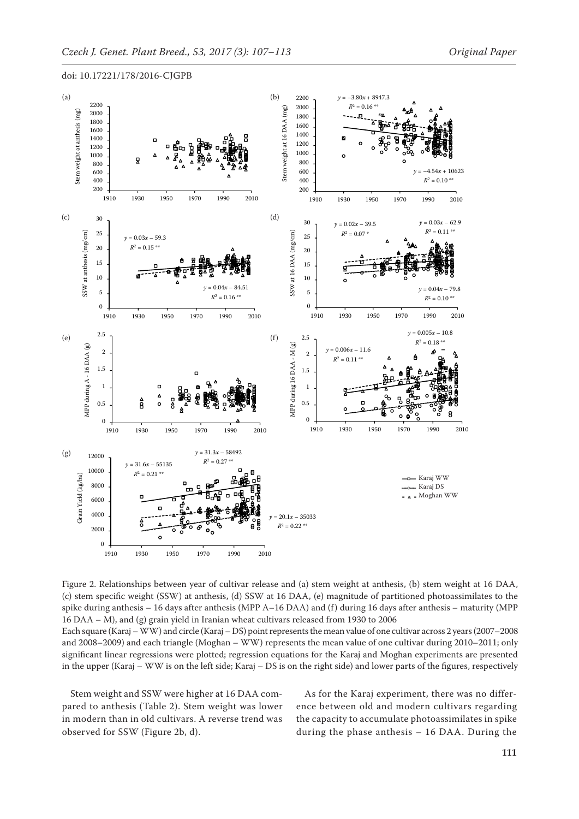*R*<sup>2</sup> = 0.16 \*\*

2000



doi: 10.17221/178/2016-CJGPB 1800 2000

2200

Figure 2. Relationships between year of cultivar release and (a) stem weight at anthesis, (b) stem weight at 16 DAA, (c) stem specific weight (SSW) at anthesis, (d) SSW at 16 DAA, (e) magnitude of partitioned photoassimilates to the spike during anthesis – 16 days after anthesis (MPP A–16 DAA) and (f) during 16 days after anthesis – maturity (MPP 15 15 16 DAA - M), and (g) grain yield in Iranian wheat cultivars released from 1930 to 2006 at anthesis, (d) SSW at 16 DAA, (e) magnitude V<br>Y<br>i after anthesis (MPP A-16 DAA) and (d<br>ar<br>h at anthesis, (d) SSW at 16 DAA, (e) magnitude of partitioned ,<br>Sid<br>L at anthesis, (d) SSW at 16 DAA, (e) magnitude of partitioned w<br>e<br>h 7<br>Y<br>i( (d<br>u<br>h

Each square (Karaj – WW) and circle (Karaj – DS) point represents the mean value of one cultivar across 2 years (2007–2008 and 2008–2009) and each triangle (Moghan – WW) represents the mean value of one cultivar during 2010–2011; only significant linear regressions were plotted; regression equations for the Karaj and Moghan experiments are presented in the upper (Karaj – WW is on the left side; Karaj – DS is on the right side) and lower parts of the figures, respectively the left side; Karaj - DS is on the right side) and lower parts of re plotted; regression equations for the Karaj and Moghan expe *nean value of one cultivar ac* 

Stem weight and SSW were higher at 16 DAA compared to anthesis (Table 2). Stem weight was lower in modern than in old cultivars. A reverse trend was t observed for SSW (Figure 2b, d). 0 )]<br>r<br>). r: 1910 1930 1950 1970 1990 2010 r<br>|<br>V  $1910$ ..<br>r<br>|.

As for the Karaj experiment, there was no difference between old and modern cultivars regarding the capacity to accumulate photoassimilates in spike during the phase anthesis – 16 DAA. During the r<br>s<br>e the phase anthesis  $-16$  I  $\mathsf{p}$  $\frac{3}{2}$ 1.<br>3<br>2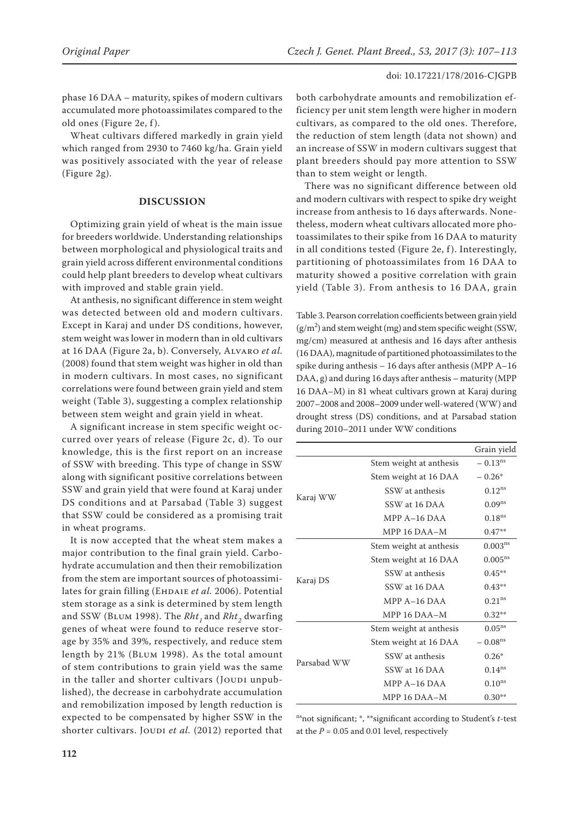phase 16 DAA – maturity, spikes of modern cultivars accumulated more photoassimilates compared to the old ones (Figure 2e, f ).

Wheat cultivars differed markedly in grain yield which ranged from 2930 to 7460 kg/ha. Grain yield was positively associated with the year of release (Figure 2g).

## **DISCUSSION**

Optimizing grain yield of wheat is the main issue for breeders worldwide. Understanding relationships between morphological and physiological traits and grain yield across different environmental conditions could help plant breeders to develop wheat cultivars with improved and stable grain yield.

At anthesis, no significant difference in stem weight was detected between old and modern cultivars. Except in Karaj and under DS conditions, however, stem weight was lower in modern than in old cultivars at 16 DAA (Figure 2a, b). Conversely, Alvaro *et al.* (2008) found that stem weight was higher in old than in modern cultivars. In most cases, no significant correlations were found between grain yield and stem weight (Table 3), suggesting a complex relationship between stem weight and grain yield in wheat.

A significant increase in stem specific weight occurred over years of release (Figure 2c, d). To our knowledge, this is the first report on an increase of SSW with breeding. This type of change in SSW along with significant positive correlations between SSW and grain yield that were found at Karaj under DS conditions and at Parsabad (Table 3) suggest that SSW could be considered as a promising trait in wheat programs.

It is now accepted that the wheat stem makes a major contribution to the final grain yield. Carbohydrate accumulation and then their remobilization from the stem are important sources of photoassimilates for grain filling (EHDAIE *et al.* 2006). Potential stem storage as a sink is determined by stem length and SSW (BLUM 1998). The *Rht*, and *Rht*<sub>2</sub> dwarfing genes of wheat were found to reduce reserve storage by 35% and 39%, respectively, and reduce stem length by 21% (Blum 1998). As the total amount of stem contributions to grain yield was the same in the taller and shorter cultivars (JOUDI unpublished), the decrease in carbohydrate accumulation and remobilization imposed by length reduction is expected to be compensated by higher SSW in the shorter cultivars. JOUDI et al. (2012) reported that

both carbohydrate amounts and remobilization efficiency per unit stem length were higher in modern cultivars, as compared to the old ones. Therefore, the reduction of stem length (data not shown) and an increase of SSW in modern cultivars suggest that plant breeders should pay more attention to SSW than to stem weight or length.

There was no significant difference between old and modern cultivars with respect to spike dry weight increase from anthesis to 16 days afterwards. Nonetheless, modern wheat cultivars allocated more photoassimilates to their spike from 16 DAA to maturity in all conditions tested (Figure 2e, f). Interestingly, partitioning of photoassimilates from 16 DAA to maturity showed a positive correlation with grain yield (Table 3). From anthesis to 16 DAA, grain

Table 3. Pearson correlation coefficients between grain yield  $(g/m<sup>2</sup>)$  and stem weight (mg) and stem specific weight (SSW, mg/cm) measured at anthesis and 16 days after anthesis (16 DAA), magnitude of partitioned photoassimilates to the spike during anthesis – 16 days after anthesis (MPP A–16 DAA, g) and during 16 days after anthesis – maturity (MPP 16 DAA–M) in 81 wheat cultivars grown at Karaj during 2007–2008 and 2008–2009 under well-watered (WW) and drought stress (DS) conditions, and at Parsabad station during 2010–2011 under WW conditions

|             |                         | Grain yield           |
|-------------|-------------------------|-----------------------|
|             | Stem weight at anthesis | $-0.13$ <sup>ns</sup> |
|             | Stem weight at 16 DAA   | $-0.26*$              |
|             | SSW at anthesis         | $0.12^{ns}$           |
| Karaj WW    | SSW at 16 DAA           | $0.09^{ns}$           |
|             | MPP $A-16$ DAA          | 0.18 <sup>ns</sup>    |
|             | MPP $16$ DAA $-M$       | $0.47**$              |
|             | Stem weight at anthesis | $0.003^{ns}$          |
|             | Stem weight at 16 DAA   | $0.005^{ns}$          |
|             | SSW at anthesis         | $0.45***$             |
| Karaj DS    | SSW at 16 DAA           | $0.43**$              |
|             | $MPPA-16DAA$            | 0.21 <sup>ns</sup>    |
|             | MPP $16$ DAA $-M$       | $0.32**$              |
|             | Stem weight at anthesis | $0.05^{ns}$           |
|             | Stem weight at 16 DAA   | $-0.08ns$             |
|             | SSW at anthesis         | $0.26*$               |
| Parsabad WW | SSW at 16 DAA           | $0.14^{ns}$           |
|             | MPP $A-16$ DAA          | $0.10^{ns}$           |
|             | MPP $16$ DAA $-M$       | $0.30**$              |

nsnot significant; \*, \*\*significant according to Student's *t*-test at the  $P = 0.05$  and 0.01 level, respectively